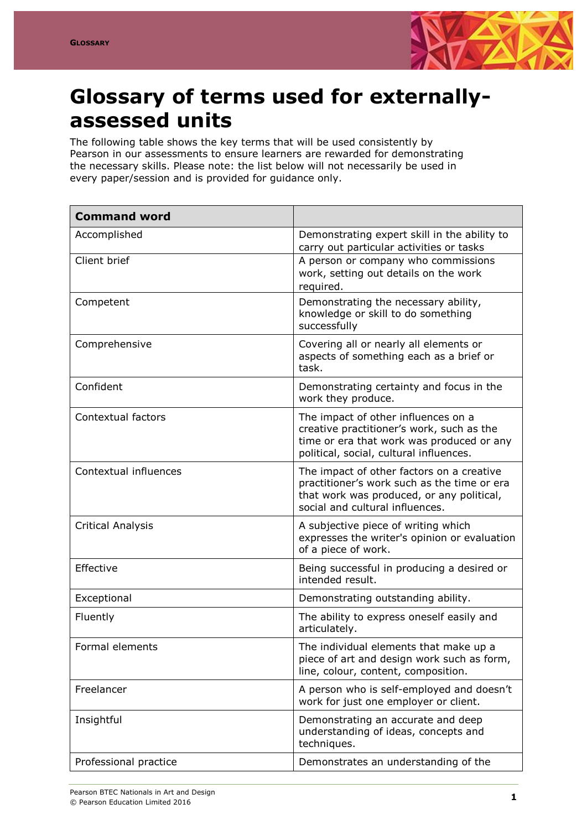

## **Glossary of terms used for externallyassessed units**

The following table shows the key terms that will be used consistently by Pearson in our assessments to ensure learners are rewarded for demonstrating the necessary skills. Please note: the list below will not necessarily be used in every paper/session and is provided for guidance only.

| <b>Command word</b>      |                                                                                                                                                                          |
|--------------------------|--------------------------------------------------------------------------------------------------------------------------------------------------------------------------|
| Accomplished             | Demonstrating expert skill in the ability to<br>carry out particular activities or tasks                                                                                 |
| Client brief             | A person or company who commissions<br>work, setting out details on the work<br>required.                                                                                |
| Competent                | Demonstrating the necessary ability,<br>knowledge or skill to do something<br>successfully                                                                               |
| Comprehensive            | Covering all or nearly all elements or<br>aspects of something each as a brief or<br>task.                                                                               |
| Confident                | Demonstrating certainty and focus in the<br>work they produce.                                                                                                           |
| Contextual factors       | The impact of other influences on a<br>creative practitioner's work, such as the<br>time or era that work was produced or any<br>political, social, cultural influences. |
| Contextual influences    | The impact of other factors on a creative<br>practitioner's work such as the time or era<br>that work was produced, or any political,<br>social and cultural influences. |
| <b>Critical Analysis</b> | A subjective piece of writing which<br>expresses the writer's opinion or evaluation<br>of a piece of work.                                                               |
| Effective                | Being successful in producing a desired or<br>intended result.                                                                                                           |
| Exceptional              | Demonstrating outstanding ability.                                                                                                                                       |
| Fluently                 | The ability to express oneself easily and<br>articulately.                                                                                                               |
| Formal elements          | The individual elements that make up a<br>piece of art and design work such as form,<br>line, colour, content, composition.                                              |
| Freelancer               | A person who is self-employed and doesn't<br>work for just one employer or client.                                                                                       |
| Insightful               | Demonstrating an accurate and deep<br>understanding of ideas, concepts and<br>techniques.                                                                                |
| Professional practice    | Demonstrates an understanding of the                                                                                                                                     |